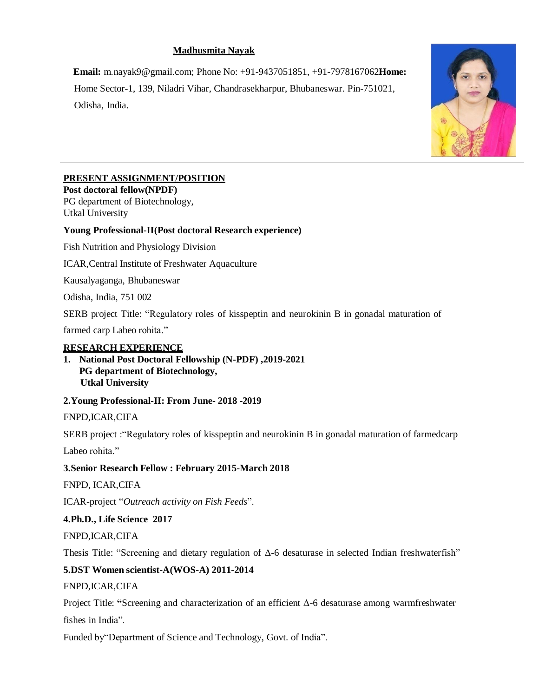# **Madhusmita Nayak**

**Email:** [m.nayak9@gmail.com;](mailto:m.nayak9@gmail.com) Phone No: +91-9437051851, +91-7978167062**Home:**  Home Sector-1, 139, Niladri Vihar, Chandrasekharpur, Bhubaneswar. Pin-751021, Odisha, India.



# **PRESENT ASSIGNMENT/POSITION**

**Post doctoral fellow(NPDF)** PG department of Biotechnology, Utkal University

# **Young Professional-II(Post doctoral Research experience)**

Fish Nutrition and Physiology Division

ICAR,Central Institute of Freshwater Aquaculture

Kausalyaganga, Bhubaneswar

Odisha, India, 751 002

SERB project Title: "Regulatory roles of kisspeptin and neurokinin B in gonadal maturation of

farmed carp Labeo rohita."

## **RESEARCH EXPERIENCE**

**1. National Post Doctoral Fellowship (N-PDF) ,2019-2021 PG department of Biotechnology, Utkal University**

## **2.Young Professional-II: From June- 2018 -2019**

FNPD,ICAR,CIFA

SERB project :"Regulatory roles of kisspeptin and neurokinin B in gonadal maturation of farmedcarp

Labeo rohita."

## **3.Senior Research Fellow : February 2015-March 2018**

FNPD, ICAR,CIFA

ICAR-project "*Outreach activity on Fish Feeds*".

## **4.Ph.D., Life Science 2017**

FNPD,ICAR,CIFA

Thesis Title: "Screening and dietary regulation of  $\Delta$ -6 desaturase in selected Indian freshwaterfish"

## **5.DST Women scientist-A(WOS-A) 2011-2014**

FNPD,ICAR,CIFA

Project Title: **"**Screening and characterization of an efficient Δ-6 desaturase among warmfreshwater fishes in India".

Funded by"Department of Science and Technology, Govt. of India".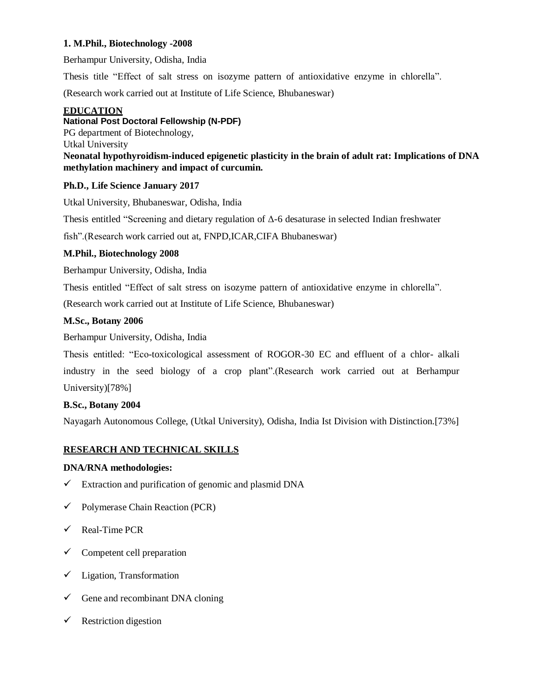## **1. M.Phil., Biotechnology -2008**

Berhampur University, Odisha, India

Thesis title "Effect of salt stress on isozyme pattern of antioxidative enzyme in chlorella".

(Research work carried out at Institute of Life Science, Bhubaneswar)

## **EDUCATION**

## **National Post Doctoral Fellowship (N-PDF)**

PG department of Biotechnology,

Utkal University

**Neonatal hypothyroidism-induced epigenetic plasticity in the brain of adult rat: Implications of DNA methylation machinery and impact of curcumin.**

## **Ph.D., Life Science January 2017**

Utkal University, Bhubaneswar, Odisha, India

Thesis entitled "Screening and dietary regulation of Δ-6 desaturase in selected Indian freshwater

fish".(Research work carried out at, FNPD,ICAR,CIFA Bhubaneswar)

## **M.Phil., Biotechnology 2008**

Berhampur University, Odisha, India

Thesis entitled "Effect of salt stress on isozyme pattern of antioxidative enzyme in chlorella".

(Research work carried out at Institute of Life Science, Bhubaneswar)

## **M.Sc., Botany 2006**

Berhampur University, Odisha, India

Thesis entitled: "Eco-toxicological assessment of ROGOR-30 EC and effluent of a chlor- alkali industry in the seed biology of a crop plant".(Research work carried out at Berhampur University)[78%]

## **B.Sc., Botany 2004**

Nayagarh Autonomous College, (Utkal University), Odisha, India Ist Division with Distinction.[73%]

# **RESEARCH AND TECHNICAL SKILLS**

## **DNA/RNA methodologies:**

- $\checkmark$  Extraction and purification of genomic and plasmid DNA
- $\checkmark$  Polymerase Chain Reaction (PCR)
- $\checkmark$  Real-Time PCR
- $\checkmark$  Competent cell preparation
- $\checkmark$  Ligation, Transformation
- $\checkmark$  Gene and recombinant DNA cloning
- $\checkmark$  Restriction digestion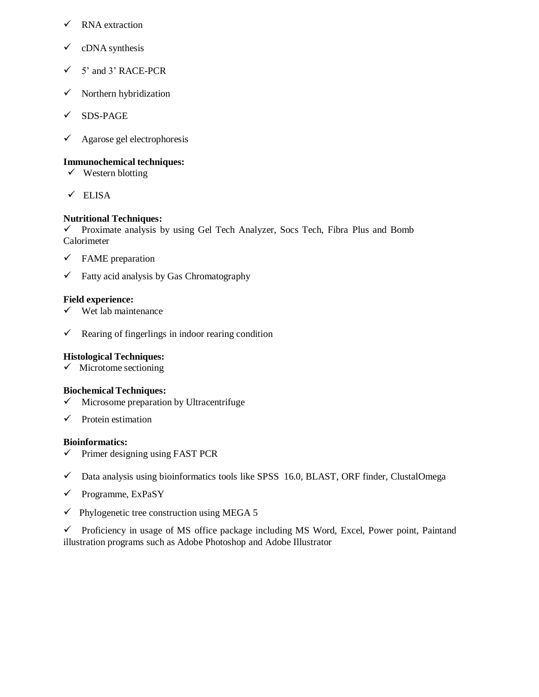- $\checkmark$  RNA extraction
- $\checkmark$  cDNA synthesis
- $\checkmark$  5' and 3' RACE-PCR
- $\checkmark$  Northern hybridization
- $\checkmark$  SDS-PAGE
- $\checkmark$  Agarose gel electrophoresis

## **Immunochemical techniques:**

- $\checkmark$  Western blotting
- $\times$  ELISA

## **Nutritional Techniques:**

 $\checkmark$  Proximate analysis by using Gel Tech Analyzer, Socs Tech, Fibra Plus and Bomb Calorimeter

- $\checkmark$  FAME preparation
- $\checkmark$  Fatty acid analysis by Gas Chromatography

## **Field experience:**

- $\checkmark$  Wet lab maintenance
- $\checkmark$  Rearing of fingerlings in indoor rearing condition

## **Histological Techniques:**

 $\checkmark$  Microtome sectioning

## **Biochemical Techniques:**

- $\checkmark$  Microsome preparation by Ultracentrifuge
- $\checkmark$  Protein estimation

## **Bioinformatics:**

- $\checkmark$  Primer designing using FAST PCR
- $\checkmark$  Data analysis using bioinformatics tools like SPSS 16.0, BLAST, ORF finder, ClustalOmega
- $\checkmark$  Programme, ExPaSY
- $\checkmark$  Phylogenetic tree construction using MEGA 5

 $\checkmark$  Proficiency in usage of MS office package including MS Word, Excel, Power point, Paintand illustration programs such as Adobe Photoshop and Adobe Illustrator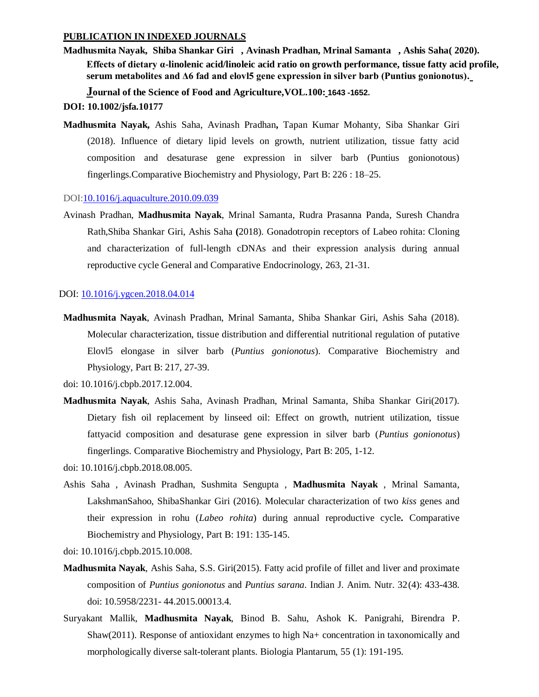#### **PUBLICATION IN INDEXED JOURNALS**

**Madhusmita Nayak, Shiba Shankar Giri , Avinash Pradhan, Mrinal Samanta , Ashis Saha( 2020). Effects of dietary α-linolenic acid/linoleic acid ratio on growth performance, tissue fatty acid profile, serum metabolites and Δ6 fad and elovl5 gene expression in silver barb (Puntius gonionotus).**

**Journal of the Science of Food and Agriculture,VOL.100: 1643 -1652.**

## **DOI: 10.1002/jsfa.10177**

**Madhusmita Nayak,** Ashis Saha, Avinash Pradhan**,** Tapan Kumar Mohanty, Siba Shankar Giri (2018). Influence of dietary lipid levels on growth, nutrient utilization, tissue fatty acid composition and desaturase gene expression in silver barb (Puntius gonionotous) fingerlings.Comparative Biochemistry and Physiology, Part B: 226 : 18–25.

#### DOI[:10.1016/j.aquaculture.2010.09.039](http://dx.doi.org/10.1016/j.aquaculture.2010.09.039)

Avinash Pradhan, **Madhusmita Nayak**, Mrinal Samanta, Rudra Prasanna Panda, Suresh Chandra Rath,Shiba Shankar Giri, Ashis Saha **(**2018). Gonadotropin receptors of Labeo rohita: Cloning and characterization of full-length cDNAs and their expression analysis during annual reproductive cycle General and Comparative Endocrinology, 263, 21-31.

#### DOI: [10.1016/j.ygcen.2018.04.014](https://doi.org/10.1016/j.ygcen.2018.04.014)

**Madhusmita Nayak**, Avinash Pradhan, Mrinal Samanta, Shiba Shankar Giri, Ashis Saha (2018). Molecular characterization, tissue distribution and differential nutritional regulation of putative Elovl5 elongase in silver barb (*Puntius gonionotus*). Comparative Biochemistry and Physiology, Part B: 217, 27-39.

- **Madhusmita Nayak**, Ashis Saha, Avinash Pradhan, Mrinal Samanta, Shiba Shankar Giri(2017). Dietary fish oil replacement by linseed oil: Effect on growth, nutrient utilization, tissue fattyacid composition and desaturase gene expression in silver barb (*Puntius gonionotus*) fingerlings. Comparative Biochemistry and Physiology, Part B: 205, 1-12.
- doi: 10.1016/j.cbpb.2018.08.005.
- Ashis Saha , Avinash Pradhan, Sushmita Sengupta , **Madhusmita Nayak** , Mrinal Samanta, LakshmanSahoo, ShibaShankar Giri (2016). Molecular characterization of two *kiss* genes and their expression in rohu (*Labeo rohita*) during annual reproductive cycle**.** Comparative Biochemistry and Physiology, Part B: 191: 135-145.

doi: 10.1016/j.cbpb.2015.10.008.

- **Madhusmita Nayak**, Ashis Saha, S.S. Giri(2015). Fatty acid profile of fillet and liver and proximate composition of *Puntius gonionotus* and *Puntius sarana*. Indian J. Anim. Nutr. 32(4): 433-438. doi: 10.5958/2231- 44.2015.00013.4.
- Suryakant Mallik, **Madhusmita Nayak**, Binod B. Sahu, Ashok K. Panigrahi, Birendra P. Shaw(2011). Response of antioxidant enzymes to high Na+ concentration in taxonomically and morphologically diverse salt-tolerant plants. Biologia Plantarum, 55 (1): 191-195.

doi: 10.1016/j.cbpb.2017.12.004.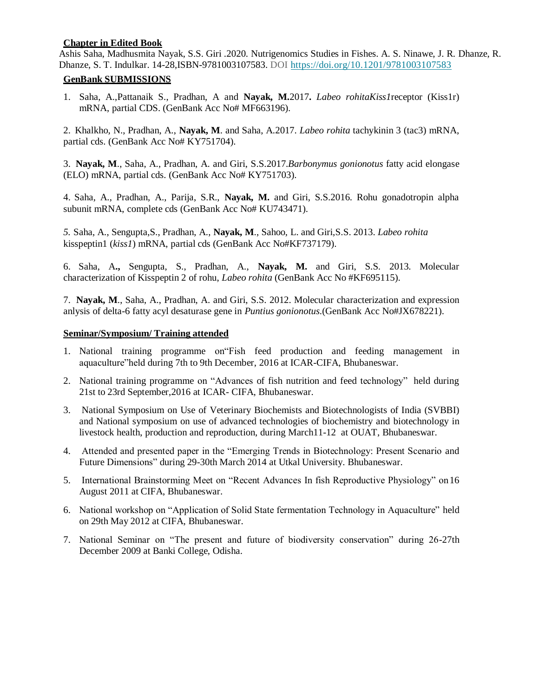#### **Chapter in Edited Book**

Ashis Saha, Madhusmita Nayak, S.S. Giri .2020. Nutrigenomics Studies in Fishes. A. S. Ninawe, J. R. Dhanze, R. Dhanze, S. T. Indulkar. 14-28,ISBN-9781003107583. DOI<https://doi.org/10.1201/9781003107583>

## **GenBank SUBMISSIONS**

1. Saha, A.,Pattanaik S., Pradhan, A and **Nayak, M.**2017**.** *Labeo rohitaKiss1*receptor (Kiss1r) mRNA, partial CDS. (GenBank Acc No# MF663196).

2. Khalkho, N., Pradhan, A., **Nayak, M**. and Saha, A.2017. *Labeo rohita* tachykinin 3 (tac3) mRNA, partial cds. (GenBank Acc No# KY751704).

3. **Nayak, M**., Saha, A., Pradhan, A. and Giri, S.S.2017.*Barbonymus gonionotus* fatty acid elongase (ELO) mRNA, partial cds. (GenBank Acc No# KY751703).

4. Saha, A., Pradhan, A., Parija, S.R., **Nayak, M.** and Giri, S.S.2016. Rohu gonadotropin alpha subunit mRNA, complete cds (GenBank Acc No# KU743471).

*5.* Saha, A., Sengupta,S., Pradhan, A., **Nayak, M**., Sahoo, L. and Giri,S.S. 2013. *Labeo rohita* kisspeptin1 (*kiss1*) mRNA, partial cds (GenBank Acc No#KF737179).

6. Saha, A**.,** Sengupta, S., Pradhan, A., **Nayak, M.** and Giri, S.S. 2013. Molecular characterization of Kisspeptin 2 of rohu, *Labeo rohita* (GenBank Acc No #KF695115).

7. **Nayak, M**., Saha, A., Pradhan, A. and Giri, S.S. 2012. Molecular characterization and expression anlysis of delta-6 fatty acyl desaturase gene in *Puntius gonionotus*.(GenBank Acc No#JX678221).

## **Seminar/Symposium/ Training attended**

- 1. National training programme on"Fish feed production and feeding management in aquaculture"held during 7th to 9th December, 2016 at ICAR-CIFA, Bhubaneswar.
- 2. National training programme on "Advances of fish nutrition and feed technology" held during 21st to 23rd September,2016 at ICAR- CIFA, Bhubaneswar.
- 3. National Symposium on Use of Veterinary Biochemists and Biotechnologists of India (SVBBI) and National symposium on use of advanced technologies of biochemistry and biotechnology in livestock health, production and reproduction, during March11-12 at OUAT, Bhubaneswar.
- 4. Attended and presented paper in the "Emerging Trends in Biotechnology: Present Scenario and Future Dimensions" during 29-30th March 2014 at Utkal University. Bhubaneswar.
- 5. International Brainstorming Meet on "Recent Advances In fish Reproductive Physiology" on16 August 2011 at CIFA, Bhubaneswar.
- 6. National workshop on "Application of Solid State fermentation Technology in Aquaculture" held on 29th May 2012 at CIFA, Bhubaneswar.
- 7. National Seminar on "The present and future of biodiversity conservation" during 26-27th December 2009 at Banki College, Odisha.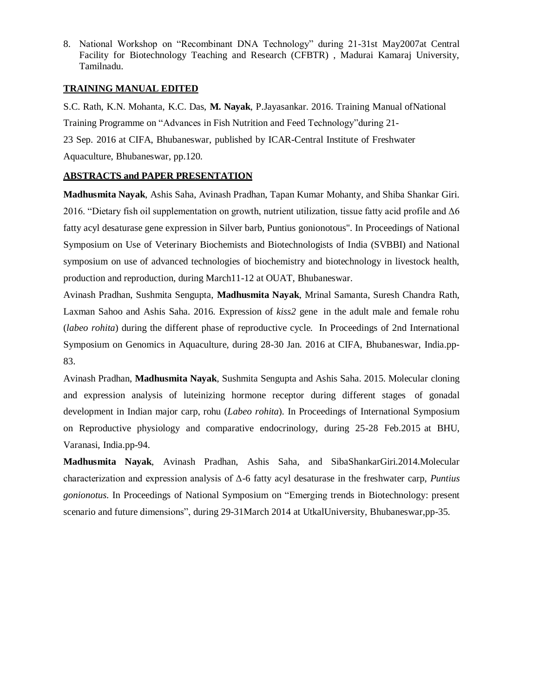8. National Workshop on "Recombinant DNA Technology" during 21-31st May2007at Central Facility for Biotechnology Teaching and Research (CFBTR) , Madurai Kamaraj University, Tamilnadu.

#### **TRAINING MANUAL EDITED**

S.C. Rath, K.N. Mohanta, K.C. Das, **M. Nayak**, P.Jayasankar. 2016. Training Manual ofNational Training Programme on "Advances in Fish Nutrition and Feed Technology"during 21- 23 Sep. 2016 at CIFA, Bhubaneswar, published by ICAR-Central Institute of Freshwater Aquaculture, Bhubaneswar, pp.120.

## **ABSTRACTS and PAPER PRESENTATION**

**Madhusmita Nayak**, Ashis Saha, Avinash Pradhan, Tapan Kumar Mohanty, and Shiba Shankar Giri. 2016. "Dietary fish oil supplementation on growth, nutrient utilization, tissue fatty acid profile and  $\Delta 6$ fatty acyl desaturase gene expression in Silver barb, Puntius gonionotous". In Proceedings of National Symposium on Use of Veterinary Biochemists and Biotechnologists of India (SVBBI) and National symposium on use of advanced technologies of biochemistry and biotechnology in livestock health, production and reproduction, during March11-12 at OUAT, Bhubaneswar.

Avinash Pradhan, Sushmita Sengupta, **Madhusmita Nayak**, Mrinal Samanta, Suresh Chandra Rath, Laxman Sahoo and Ashis Saha. 2016. Expression of *kiss2* gene in the adult male and female rohu (*labeo rohita*) during the different phase of reproductive cycle. In Proceedings of 2nd International Symposium on Genomics in Aquaculture, during 28-30 Jan. 2016 at CIFA, Bhubaneswar, India.pp-83.

Avinash Pradhan, **Madhusmita Nayak**, Sushmita Sengupta and Ashis Saha. 2015. Molecular cloning and expression analysis of luteinizing hormone receptor during different stages of gonadal development in Indian major carp, rohu (*Labeo rohita*). In Proceedings of International Symposium on Reproductive physiology and comparative endocrinology, during 25-28 Feb.2015 at BHU, Varanasi, India.pp-94.

**Madhusmita Nayak**, Avinash Pradhan, Ashis Saha, and SibaShankarGiri.2014.Molecular characterization and expression analysis of Δ-6 fatty acyl desaturase in the freshwater carp, *Puntius gonionotus*. In Proceedings of National Symposium on "Emerging trends in Biotechnology: present scenario and future dimensions", during 29-31March 2014 at UtkalUniversity, Bhubaneswar,pp-35.